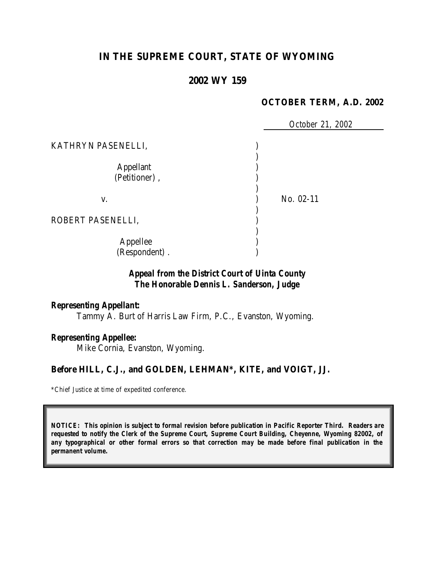# **IN THE SUPREME COURT, STATE OF WYOMING**

# **2002 WY 159**

### **OCTOBER TERM, A.D. 2002**

 *October 21, 2002* KATHRYN PASENELLI,  $\hspace{1.6cm}$  ) ) Appellant ) (Petitioner), ) v. ) No. 02-11 ) ROBERT PASENELLI, ) ) Appellee ) (Respondent) . )

# *Appeal from the District Court of Uinta County The Honorable Dennis L. Sanderson, Judge*

#### *Representing Appellant:*

Tammy A. Burt of Harris Law Firm, P.C., Evanston, Wyoming.

### *Representing Appellee:*

Mike Cornia, Evanston, Wyoming.

### **Before HILL, C.J., and GOLDEN, LEHMAN\*, KITE, and VOIGT, JJ.**

\*Chief Justice at time of expedited conference.

*NOTICE: This opinion is subject to formal revision before publication in Pacific Reporter Third. Readers are requested to notify the Clerk of the Supreme Court, Supreme Court Building, Cheyenne, Wyoming 82002, of any typographical or other formal errors so that correction may be made before final publication in the permanent volume.*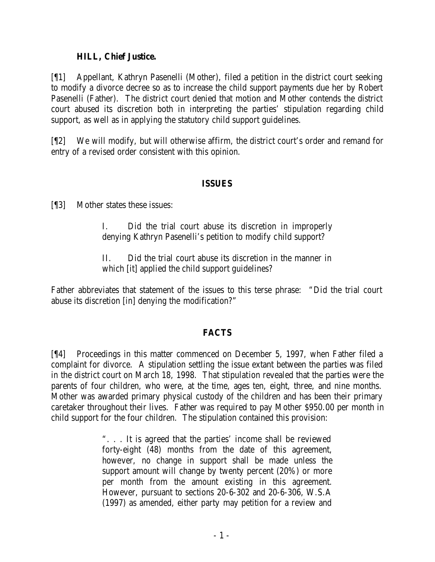### **HILL, Chief Justice.**

[¶1] Appellant, Kathryn Pasenelli (Mother), filed a petition in the district court seeking to modify a divorce decree so as to increase the child support payments due her by Robert Pasenelli (Father). The district court denied that motion and Mother contends the district court abused its discretion both in interpreting the parties' stipulation regarding child support, as well as in applying the statutory child support guidelines.

[¶2] We will modify, but will otherwise affirm, the district court's order and remand for entry of a revised order consistent with this opinion.

### **ISSUES**

[¶3] Mother states these issues:

I. Did the trial court abuse its discretion in improperly denying Kathryn Pasenelli's petition to modify child support?

II. Did the trial court abuse its discretion in the manner in which [it] applied the child support guidelines?

Father abbreviates that statement of the issues to this terse phrase: "Did the trial court abuse its discretion [in] denying the modification?"

# **FACTS**

[¶4] Proceedings in this matter commenced on December 5, 1997, when Father filed a complaint for divorce. A stipulation settling the issue extant between the parties was filed in the district court on March 18, 1998. That stipulation revealed that the parties were the parents of four children, who were, at the time, ages ten, eight, three, and nine months. Mother was awarded primary physical custody of the children and has been their primary caretaker throughout their lives. Father was required to pay Mother \$950.00 per month in child support for the four children. The stipulation contained this provision:

> ". . . It is agreed that the parties' income shall be reviewed forty-eight (48) months from the date of this agreement, however, no change in support shall be made unless the support amount will change by twenty percent (20%) or more per month from the amount existing in this agreement. However, pursuant to sections 20-6-302 and 20-6-306, W.S.A (1997) as amended, either party may petition for a review and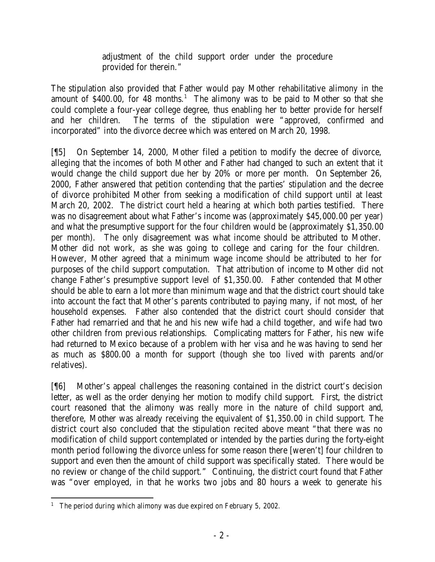adjustment of the child support order under the procedure provided for therein."

The stipulation also provided that Father would pay Mother rehabilitative alimony in the amount of \$400.00, for 48 months.<sup>1</sup> The alimony was to be paid to Mother so that she could complete a four-year college degree, thus enabling her to better provide for herself and her children. The terms of the stipulation were "approved, confirmed and incorporated" into the divorce decree which was entered on March 20, 1998.

[¶5] On September 14, 2000, Mother filed a petition to modify the decree of divorce, alleging that the incomes of both Mother and Father had changed to such an extent that it would change the child support due her by 20% or more per month. On September 26, 2000, Father answered that petition contending that the parties' stipulation and the decree of divorce prohibited Mother from seeking a modification of child support until at least March 20, 2002. The district court held a hearing at which both parties testified. There was no disagreement about what Father's income was (approximately \$45,000.00 per year) and what the presumptive support for the four children would be (approximately \$1,350.00 per month). The only disagreement was what income should be attributed to Mother. Mother did not work, as she was going to college and caring for the four children. However, Mother agreed that a minimum wage income should be attributed to her for purposes of the child support computation. That attribution of income to Mother did not change Father's presumptive support level of \$1,350.00. Father contended that Mother should be able to earn a lot more than minimum wage and that the district court should take into account the fact that Mother's parents contributed to paying many, if not most, of her household expenses. Father also contended that the district court should consider that Father had remarried and that he and his new wife had a child together, and wife had two other children from previous relationships. Complicating matters for Father, his new wife had returned to Mexico because of a problem with her visa and he was having to send her as much as \$800.00 a month for support (though she too lived with parents and/or relatives).

[¶6] Mother's appeal challenges the reasoning contained in the district court's decision letter, as well as the order denying her motion to modify child support. First, the district court reasoned that the alimony was really more in the nature of child support and, therefore, Mother was already receiving the equivalent of \$1,350.00 in child support. The district court also concluded that the stipulation recited above meant "that there was no modification of child support contemplated or intended by the parties during the forty-eight month period following the divorce unless for some reason there [weren't] four children to support and even then the amount of child support was specifically stated. There would be no review or change of the child support." Continuing, the district court found that Father was "over employed, in that he works two jobs and 80 hours a week to generate his

 <sup>1</sup> The period during which alimony was due expired on February 5, 2002.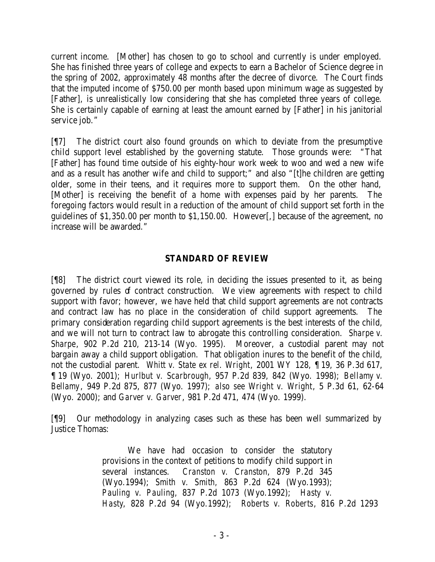current income. [Mother] has chosen to go to school and currently is under employed. She has finished three years of college and expects to earn a Bachelor of Science degree in the spring of 2002, approximately 48 months after the decree of divorce. The Court finds that the imputed income of \$750.00 per month based upon minimum wage as suggested by [Father], is unrealistically low considering that she has completed three years of college. She is certainly capable of earning at least the amount earned by [Father] in his janitorial service job."

[¶7] The district court also found grounds on which to deviate from the presumptive child support level established by the governing statute. Those grounds were: "That [Father] has found time outside of his eighty-hour work week to woo and wed a new wife and as a result has another wife and child to support;" and also "[t]he children are getting older, some in their teens, and it requires more to support them. On the other hand, [Mother] is receiving the benefit of a home with expenses paid by her parents. The foregoing factors would result in a reduction of the amount of child support set forth in the guidelines of \$1,350.00 per month to \$1,150.00. However[,] because of the agreement, no increase will be awarded."

# **STANDARD OF REVIEW**

[¶8] The district court viewed its role, in deciding the issues presented to it, as being governed by rules of contract construction. We view agreements with respect to child support with favor; however, we have held that child support agreements are not contracts and contract law has no place in the consideration of child support agreements. The primary consideration regarding child support agreements is the best interests of the child, and we will not turn to contract law to abrogate this controlling consideration. *Sharpe v. Sharpe*, 902 P.2d 210, 213-14 (Wyo. 1995). Moreover, a custodial parent may not bargain away a child support obligation. That obligation inures to the benefit of the child, not the custodial parent. *Whitt v. State ex rel. Wright*, 2001 WY 128, ¶ 19, 36 P.3d 617, ¶ 19 (Wyo. 2001); *Hurlbut v. Scarbrough*, 957 P.2d 839, 842 (Wyo. 1998); *Bellamy v. Bellamy*, 949 P.2d 875, 877 (Wyo. 1997); *also see Wright v. Wright*, 5 P.3d 61, 62-64 (Wyo. 2000); and *Garver v. Garver*, 981 P.2d 471, 474 (Wyo. 1999).

[¶9] Our methodology in analyzing cases such as these has been well summarized by Justice Thomas:

> We have had occasion to consider the statutory provisions in the context of petitions to modify child support in several instances. *Cranston v. Cranston*, 879 P.2d 345 (Wyo.1994); *Smith v. Smith,* 863 P.2d 624 (Wyo.1993); *Pauling v. Pauling*, 837 P.2d 1073 (Wyo.1992); *Hasty v. Hasty*, 828 P.2d 94 (Wyo.1992); *Roberts v. Roberts*, 816 P.2d 1293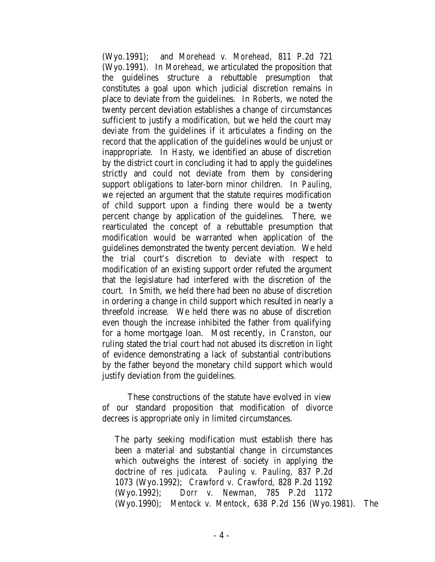(Wyo.1991); and *Morehead v. Morehead*, 811 P.2d 721 (Wyo.1991). In *Morehead*, we articulated the proposition that the guidelines structure a rebuttable presumption that constitutes a goal upon which judicial discretion remains in place to deviate from the guidelines. In *Roberts*, we noted the twenty percent deviation establishes a change of circumstances sufficient to justify a modification, but we held the court may deviate from the guidelines if it articulates a finding on the record that the application of the guidelines would be unjust or inappropriate. In *Hasty*, we identified an abuse of discretion by the district court in concluding it had to apply the guidelines strictly and could not deviate from them by considering support obligations to later-born minor children. In *Pauling*, we rejected an argument that the statute requires modification of child support upon a finding there would be a twenty percent change by application of the guidelines. There, we rearticulated the concept of a rebuttable presumption that modification would be warranted when application of the guidelines demonstrated the twenty percent deviation. We held the trial court's discretion to deviate with respect to modification of an existing support order refuted the argument that the legislature had interfered with the discretion of the court. In *Smith*, we held there had been no abuse of discretion in ordering a change in child support which resulted in nearly a threefold increase. We held there was no abuse of discretion even though the increase inhibited the father from qualifying for a home mortgage loan. Most recently, in *Cranston*, our ruling stated the trial court had not abused its discretion in light of evidence demonstrating a lack of substantial contributions by the father beyond the monetary child support which would justify deviation from the guidelines.

These constructions of the statute have evolved in view of our standard proposition that modification of divorce decrees is appropriate only in limited circumstances.

The party seeking modification must establish there has been a material and substantial change in circumstances which outweighs the interest of society in applying the doctrine of *res judicata*. *Pauling v. Pauling*, 837 P.2d 1073 (Wyo.1992); *Crawford v. Crawford*, 828 P.2d 1192 (Wyo.1992); *Dorr v. Newman*, 785 P.2d 1172 (Wyo.1990); *Mentock v. Mentock*, 638 P.2d 156 (Wyo.1981). The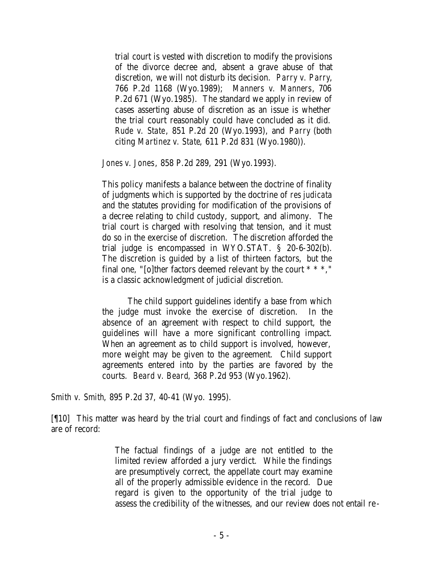trial court is vested with discretion to modify the provisions of the divorce decree and, absent a grave abuse of that discretion, we will not disturb its decision. *Parry v. Parry*, 766 P.2d 1168 (Wyo.1989); *Manners v. Manners*, 706 P.2d 671 (Wyo.1985). The standard we apply in review of cases asserting abuse of discretion as an issue is whether the trial court reasonably could have concluded as it did. *Rude v. State*, 851 P.2d 20 (Wyo.1993), and *Parry* (both citing *Martinez v. State*, 611 P.2d 831 (Wyo.1980)).

*Jones v. Jones*, 858 P.2d 289, 291 (Wyo.1993).

This policy manifests a balance between the doctrine of finality of judgments which is supported by the doctrine of *res judicata*  and the statutes providing for modification of the provisions of a decree relating to child custody, support, and alimony. The trial court is charged with resolving that tension, and it must do so in the exercise of discretion. The discretion afforded the trial judge is encompassed in WYO.STAT. § 20-6-302(b). The discretion is guided by a list of thirteen factors, but the final one, "[o]ther factors deemed relevant by the court \* \* \*," is a classic acknowledgment of judicial discretion.

The child support guidelines identify a base from which the judge must invoke the exercise of discretion. In the absence of an agreement with respect to child support, the guidelines will have a more significant controlling impact. When an agreement as to child support is involved, however, more weight may be given to the agreement. Child support agreements entered into by the parties are favored by the courts. *Beard v. Beard*, 368 P.2d 953 (Wyo.1962).

*Smith v. Smith*, 895 P.2d 37, 40-41 (Wyo. 1995).

[¶10] This matter was heard by the trial court and findings of fact and conclusions of law are of record:

> The factual findings of a judge are not entitled to the limited review afforded a jury verdict. While the findings are presumptively correct, the appellate court may examine all of the properly admissible evidence in the record. Due regard is given to the opportunity of the trial judge to assess the credibility of the witnesses, and our review does not entail re -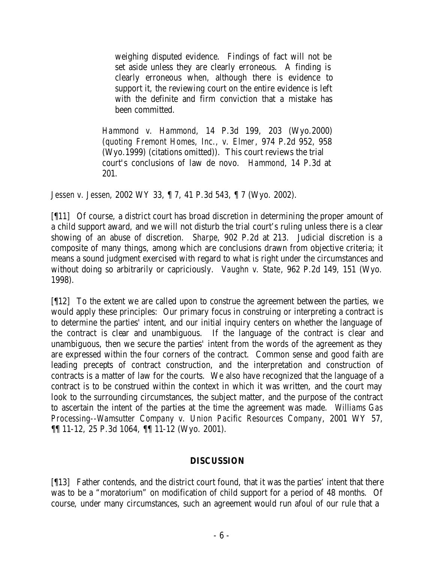weighing disputed evidence. Findings of fact will not be set aside unless they are clearly erroneous. A finding is clearly erroneous when, although there is evidence to support it, the reviewing court on the entire evidence is left with the definite and firm conviction that a mistake has been committed.

*Hammond v. Hammond*, 14 P.3d 199, 203 (Wyo.2000) (*quoting Fremont Homes, Inc., v. Elmer*, 974 P.2d 952, 958 (Wyo.1999) (citations omitted)). This court reviews the trial court's conclusions of law de novo. *Hammond*, 14 P.3d at 201.

*Jessen v. Jessen*, 2002 WY 33, ¶ 7, 41 P.3d 543, ¶ 7 (Wyo. 2002).

[¶11] Of course, a district court has broad discretion in determining the proper amount of a child support award, and we will not disturb the trial court's ruling unless there is a clear showing of an abuse of discretion. *Sharpe*, 902 P.2d at 213. Judicial discretion is a composite of many things, among which are conclusions drawn from objective criteria; it means a sound judgment exercised with regard to what is right under the circumstances and without doing so arbitrarily or capriciously. *Vaughn v. State*, 962 P.2d 149, 151 (Wyo. 1998).

[¶12] To the extent we are called upon to construe the agreement between the parties, we would apply these principles: Our primary focus in construing or interpreting a contract is to determine the parties' intent, and our initial inquiry centers on whether the language of the contract is clear and unambiguous. If the language of the contract is clear and unambiguous, then we secure the parties' intent from the words of the agreement as they are expressed within the four corners of the contract. Common sense and good faith are leading precepts of contract construction, and the interpretation and construction of contracts is a matter of law for the courts. We also have recognized that the language of a contract is to be construed within the context in which it was written, and the court may look to the surrounding circumstances, the subject matter, and the purpose of the contract to ascertain the intent of the parties at the time the agreement was made. *Williams Gas Processing--Wamsutter Company v. Union Pacific Resources Company*, 2001 WY 57, ¶¶ 11-12, 25 P.3d 1064, ¶¶ 11-12 (Wyo. 2001).

# **DISCUSSION**

[¶13] Father contends, and the district court found, that it was the parties' intent that there was to be a "moratorium" on modification of child support for a period of 48 months. Of course, under many circumstances, such an agreement would run afoul of our rule that a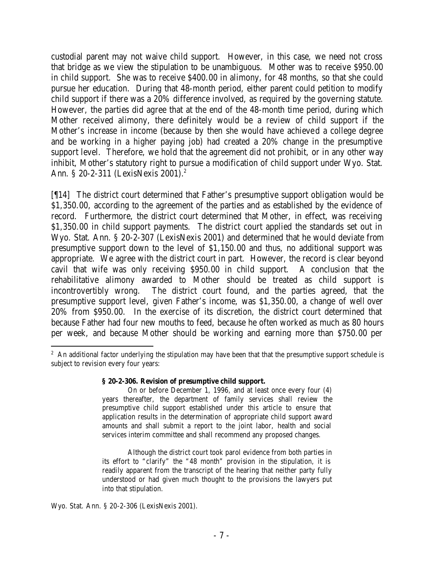custodial parent may not waive child support. However, in this case, we need not cross that bridge as we view the stipulation to be unambiguous. Mother was to receive \$950.00 in child support. She was to receive \$400.00 in alimony, for 48 months, so that she could pursue her education. During that 48-month period, either parent could petition to modify child support if there was a 20% difference involved, as required by the governing statute. However, the parties did agree that at the end of the 48-month time period, during which Mother received alimony, there definitely would be a review of child support if the Mother's increase in income (because by then she would have achieved a college degree and be working in a higher paying job) had created a 20% change in the presumptive support level. Therefore, we hold that the agreement did not prohibit, or in any other way inhibit, Mother's statutory right to pursue a modification of child support under Wyo. Stat. Ann. § 20-2-311 (LexisNexis 2001).<sup>2</sup>

[¶14] The district court determined that Father's presumptive support obligation would be \$1,350.00, according to the agreement of the parties and as established by the evidence of record. Furthermore, the district court determined that Mother, in effect, was receiving \$1,350.00 in child support payments. The district court applied the standards set out in Wyo. Stat. Ann. § 20-2-307 (LexisNexis 2001) and determined that he would deviate from presumptive support down to the level of \$1,150.00 and thus, no additional support was appropriate. We agree with the district court in part. However, the record is clear beyond cavil that wife was only receiving \$950.00 in child support. A conclusion that the rehabilitative alimony awarded to Mother should be treated as child support is incontrovertibly wrong. The district court found, and the parties agreed, that the presumptive support level, given Father's income, was \$1,350.00, a change of well over 20% from \$950.00. In the exercise of its discretion, the district court determined that because Father had four new mouths to feed, because he often worked as much as 80 hours per week, and because Mother should be working and earning more than \$750.00 per

#### **§ 20-2-306. Revision of presumptive child support.**

On or before December 1, 1996, and at least once every four (4) years thereafter, the department of family services shall review the presumptive child support established under this article to ensure that application results in the determination of appropriate child support award amounts and shall submit a report to the joint labor, health and social services interim committee and shall recommend any proposed changes.

Although the district court took parol evidence from both parties in its effort to "clarify" the "48 month" provision in the stipulation, it is readily apparent from the transcript of the hearing that neither party fully understood or had given much thought to the provisions the lawyers put into that stipulation.

Wyo. Stat. Ann. § 20-2-306 (LexisNexis 2001).

 <sup>2</sup> An additional factor underlying the stipulation may have been that that the presumptive support schedule is subject to revision every four years: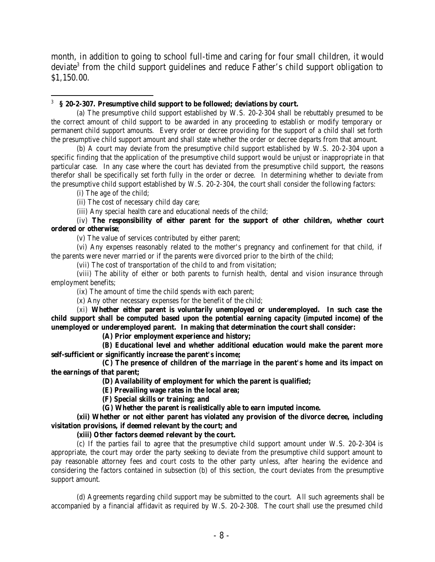month, in addition to going to school full-time and caring for four small children, it would deviate<sup>3</sup> from the child support guidelines and reduce Father's child support obligation to \$1,150.00.

#### 3 **§ 20-2-307. Presumptive child support to be followed; deviations by court.**

(a) The presumptive child support established by W.S. 20-2-304 shall be rebuttably presumed to be the correct amount of child support to be awarded in any proceeding to establish or modify temporary or permanent child support amounts. Every order or decree providing for the support of a child shall set forth the presumptive child support amount and shall state whether the order or decree departs from that amount.

(b) A court may deviate from the presumptive child support established by W.S. 20-2-304 upon a specific finding that the application of the presumptive child support would be unjust or inappropriate in that particular case. In any case where the court has deviated from the presumptive child support, the reasons therefor shall be specifically set forth fully in the order or decree. In determining whether to deviate from the presumptive child support established by W.S. 20-2-304, the court shall consider the following factors:

(i) The age of the child;

(ii) The cost of necessary child day care;

(iii) Any special health care and educational needs of the child;

#### (iv) **The responsibility of either parent for the support of other children, whether court ordered or otherwise**;

(v) The value of services contributed by either parent;

(vi) Any expenses reasonably related to the mother's pregnancy and confinement for that child, if the parents were never married or if the parents were divorced prior to the birth of the child;

(vii) The cost of transportation of the child to and from visitation;

(viii) The ability of either or both parents to furnish health, dental and vision insurance through employment benefits;

(ix) The amount of time the child spends with each parent;

(x) Any other necessary expenses for the benefit of the child;

(xi) **Whether either parent is voluntarily unemployed or underemployed. In such case the child support shall be computed based upon the potential earning capacity (imputed income) of the unemployed or underemployed parent. In making that determination the court shall consider:**

**(A) Prior employment experience and history;**

**(B) Educational level and whether additional education would make the parent more self-sufficient or significantly increase the parent's income;**

**(C) The presence of children of the marriage in the parent's home and its impact on the earnings of that parent;**

**(D) Availability of employment for which the parent is qualified;**

**(E) Prevailing wage rates in the local area;**

**(F) Special skills or training; and**

**(G) Whether the parent is realistically able to earn imputed income.**

**(xii) Whether or not either parent has violated any provision of the divorce decree, including visitation provisions, if deemed relevant by the court; and**

**(xiii) Other factors deemed relevant by the court.**

(c) If the parties fail to agree that the presumptive child support amount under W.S. 20-2-304 is appropriate, the court may order the party seeking to deviate from the presumptive child support amount to pay reasonable attorney fees and court costs to the other party unless, after hearing the evidence and considering the factors contained in subsection (b) of this section, the court deviates from the presumptive support amount.

(d) Agreements regarding child support may be submitted to the court. All such agreements shall be accompanied by a financial affidavit as required by W.S. 20-2-308. The court shall use the presumed child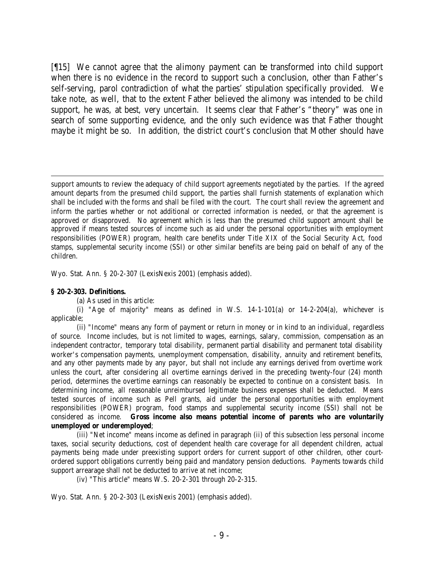[¶15] We cannot agree that the alimony payment can be transformed into child support when there is no evidence in the record to support such a conclusion, other than Father's self-serving, parol contradiction of what the parties' stipulation specifically provided. We take note, as well, that to the extent Father believed the alimony was intended to be child support, he was, at best, very uncertain. It seems clear that Father's "theory" was one in search of some supporting evidence, and the only such evidence was that Father thought maybe it might be so. In addition, the district court's conclusion that Mother should have

support amounts to review the adequacy of child support agreements negotiated by the parties. If the agreed amount departs from the presumed child support, the parties shall furnish statements of explanation which shall be included with the forms and shall be filed with the court. The court shall review the agreement and inform the parties whether or not additional or corrected information is needed, or that the agreement is approved or disapproved. No agreement which is less than the presumed child support amount shall be approved if means tested sources of income such as aid under the personal opportunities with employment responsibilities (POWER) program, health care benefits under Title XIX of the Social Security Act, food stamps, supplemental security income (SSI) or other similar benefits are being paid on behalf of any of the children.

Wyo. Stat. Ann. § 20-2-307 (LexisNexis 2001) (emphasis added).

#### **§ 20-2-303. Definitions.**

(a) As used in this article:

(i) "Age of majority" means as defined in W.S.  $14-1-101(a)$  or  $14-2-204(a)$ , whichever is applicable;

(ii) "Income" means any form of payment or return in money or in kind to an individual, regardless of source. Income includes, but is not limited to wages, earnings, salary, commission, compensation as an independent contractor, temporary total disability, permanent partial disability and permanent total disability worker's compensation payments, unemployment compensation, disability, annuity and retirement benefits, and any other payments made by any payor, but shall not include any earnings derived from overtime work unless the court, after considering all overtime earnings derived in the preceding twenty-four (24) month period, determines the overtime earnings can reasonably be expected to continue on a consistent basis. In determining income, all reasonable unreimbursed legitimate business expenses shall be deducted. Means tested sources of income such as Pell grants, aid under the personal opportunities with employment responsibilities (POWER) program, food stamps and supplemental security income (SSI) shall not be considered as income. **Gross income also means potential income of parents who are voluntarily unemployed or underemployed**;

(iii) "Net income" means income as defined in paragraph (ii) of this subsection less personal income taxes, social security deductions, cost of dependent health care coverage for all dependent children, actual payments being made under preexisting support orders for current support of other children, other courtordered support obligations currently being paid and mandatory pension deductions. Payments towards child support arrearage shall not be deducted to arrive at net income;

(iv) "This article" means W.S. 20-2-301 through 20-2-315.

Wyo. Stat. Ann. § 20-2-303 (LexisNexis 2001) (emphasis added).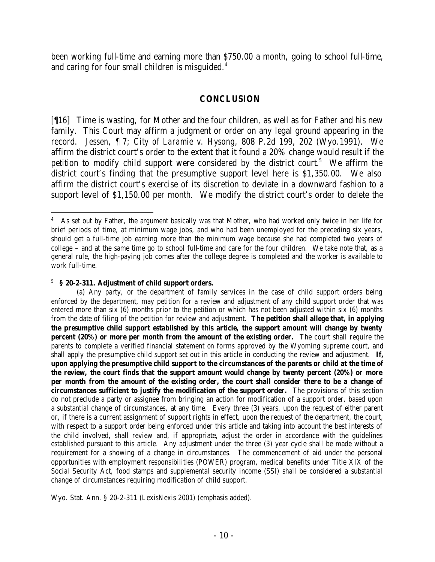been working full-time and earning more than \$750.00 a month, going to school full-time, and caring for four small children is misguided.<sup>4</sup>

### **CONCLUSION**

[¶16] Time is wasting, for Mother and the four children, as well as for Father and his new family. This Court may affirm a judgment or order on any legal ground appearing in the record. *Jessen,* ¶ 7; *City of Laramie v. Hysong*, 808 P.2d 199, 202 (Wyo.1991). We affirm the district court's order to the extent that it found a 20% change would result if the petition to modify child support were considered by the district court.<sup>5</sup> We affirm the district court's finding that the presumptive support level here is \$1,350.00. We also affirm the district court's exercise of its discretion to deviate in a downward fashion to a support level of \$1,150.00 per month. We modify the district court's order to delete the

5 **§ 20-2-311. Adjustment of child support orders.**

<sup>4</sup> As set out by Father, the argument basically was that Mother, who had worked only twice in her life for brief periods of time, at minimum wage jobs, and who had been unemployed for the preceding six years, should get a full-time job earning more than the minimum wage because she had completed two years of college – and at the same time go to school full-time and care for the four children. We take note that, as a general rule, the high-paying job comes after the college degree is completed and the worker is available to work full-time.

<sup>(</sup>a) Any party, or the department of family services in the case of child support orders being enforced by the department, may petition for a review and adjustment of any child support order that was entered more than six (6) months prior to the petition or which has not been adjusted within six (6) months from the date of filing of the petition for review and adjustment. **The petition shall allege that, in applying the presumptive child support established by this article, the support amount will change by twenty percent (20%) or more per month from the amount of the existing order.** The court shall require the parents to complete a verified financial statement on forms approved by the Wyoming supreme court, and shall apply the presumptive child support set out in this article in conducting the review and adjustment. **If, upon applying the presumptive child support to the circumstances of the parents or child at the time of the review, the court finds that the support amount would change by twenty percent (20%) or more per month from the amount of the existing order, the court shall consider there to be a change of circumstances sufficient to justify the modification of the support order.** The provisions of this section do not preclude a party or assignee from bringing an action for modification of a support order, based upon a substantial change of circumstances, at any time. Every three (3) years, upon the request of either parent or, if there is a current assignment of support rights in effect, upon the request of the department, the court, with respect to a support order being enforced under this article and taking into account the best interests of the child involved, shall review and, if appropriate, adjust the order in accordance with the guidelines established pursuant to this article. Any adjustment under the three (3) year cycle shall be made without a requirement for a showing of a change in circumstances. The commencement of aid under the personal opportunities with employment responsibilities (POWER) program, medical benefits under Title XIX of the Social Security Act, food stamps and supplemental security income (SSI) shall be considered a substantial change of circumstances requiring modification of child support.

Wyo. Stat. Ann. § 20-2-311 (LexisNexis 2001) (emphasis added).